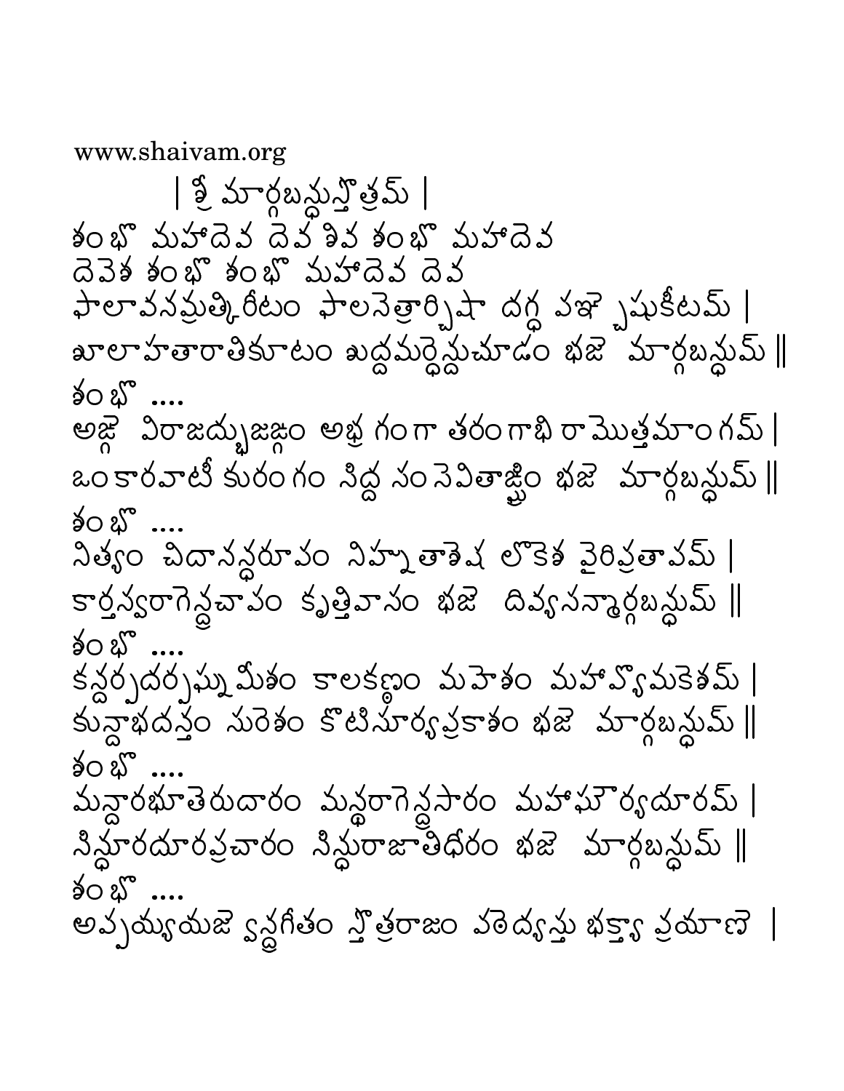www.shaivam.org

| శ్వూరబనున్తమ్ | శంభి మహాదెవ దెవ్శివ శంభి మహాదెవ దెవెశ శంభొ శంభొ మహాదెవ దెవ ఫాలావనమ్రత్కిరీటం ఫాలనెత్రార్భిషా దగ్ధ వఞ్భషుకీటమ్ ఖాలాహతారాతికూటం ఖద్ధమర్ధ్యేమాడం భజె మార్గబన్లుమ్ ∥ శం బొ అజ్గౌ విరాజద్భుజజ్గం అభ్ద గంగా తరంగాభి రామొత్తమాంగమ్ | ఒంకారవాటీ కురంగం నిద్ద నంనెవితాఙ్టిం భజె మార్గబన్జుమ్ ∥ శం బొ… నిత్యం చిదానన్దరూవం నిహ్మతాశెష లొకెశ వైరివ్రతావమ్ కార్తవ్వరాగెన్దచావం కృత్తివానం భజె దివ్యనన్మార్గబన్ధుమ్ || శం బొ కన్ధర్చదర్చప్నుమిశం కాలకణం మహేశం మహావ్యోమకెశమ్ | కున్లాభదస్త్ర మరెశం కొటిమార్య క్రకాశం భజె మార్గబన్లుమ్ || శం బొ మన్దారభూతెరుదారం మన్థరాగెన్దసారం మహాఘౌర్యదూరమ్ |  $3x + 3y + 6y + 1$ శం భొ అవ్చయ్య యజె ్షన్ల గీతం స్త్రిత్రాజం వరెద్య స్తు భక్త్యా ప్రయాణె